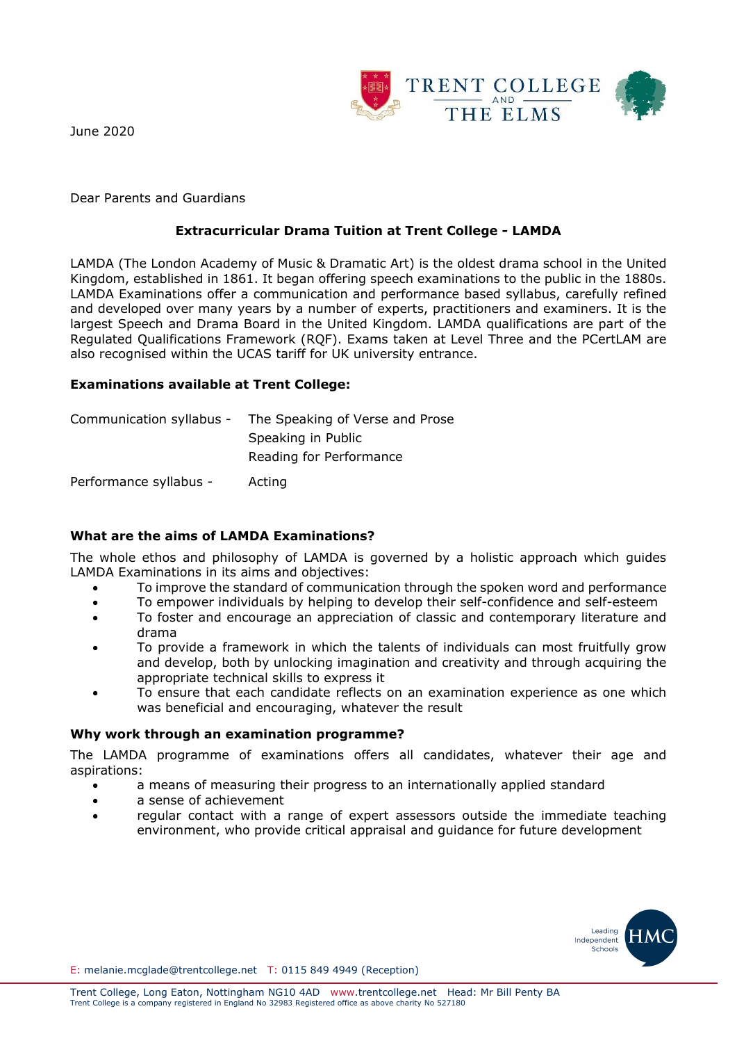

June 2020

Dear Parents and Guardians

# **Extracurricular Drama Tuition at Trent College - LAMDA**

LAMDA (The London Academy of Music & Dramatic Art) is the oldest drama school in the United Kingdom, established in 1861. It began offering speech examinations to the public in the 1880s. LAMDA Examinations offer a communication and performance based syllabus, carefully refined and developed over many years by a number of experts, practitioners and examiners. It is the largest Speech and Drama Board in the United Kingdom. LAMDA qualifications are part of the Regulated Qualifications Framework (RQF). Exams taken at Level Three and the PCertLAM are also recognised within the UCAS tariff for UK university entrance.

## **Examinations available at Trent College:**

|                        | Communication syllabus - The Speaking of Verse and Prose |
|------------------------|----------------------------------------------------------|
|                        | Speaking in Public                                       |
|                        | Reading for Performance                                  |
| Performance syllabus - | Acting                                                   |

## **What are the aims of LAMDA Examinations?**

The whole ethos and philosophy of LAMDA is governed by a holistic approach which guides LAMDA Examinations in its aims and objectives:

- To improve the standard of communication through the spoken word and performance
- To empower individuals by helping to develop their self-confidence and self-esteem
- To foster and encourage an appreciation of classic and contemporary literature and drama
- To provide a framework in which the talents of individuals can most fruitfully grow and develop, both by unlocking imagination and creativity and through acquiring the appropriate technical skills to express it
- To ensure that each candidate reflects on an examination experience as one which was beneficial and encouraging, whatever the result

## **Why work through an examination programme?**

The LAMDA programme of examinations offers all candidates, whatever their age and aspirations:

- a means of measuring their progress to an internationally applied standard
- a sense of achievement
- regular contact with a range of expert assessors outside the immediate teaching environment, who provide critical appraisal and guidance for future development



E: melanie.mcglade@trentcollege.net T: 0115 849 4949 (Reception)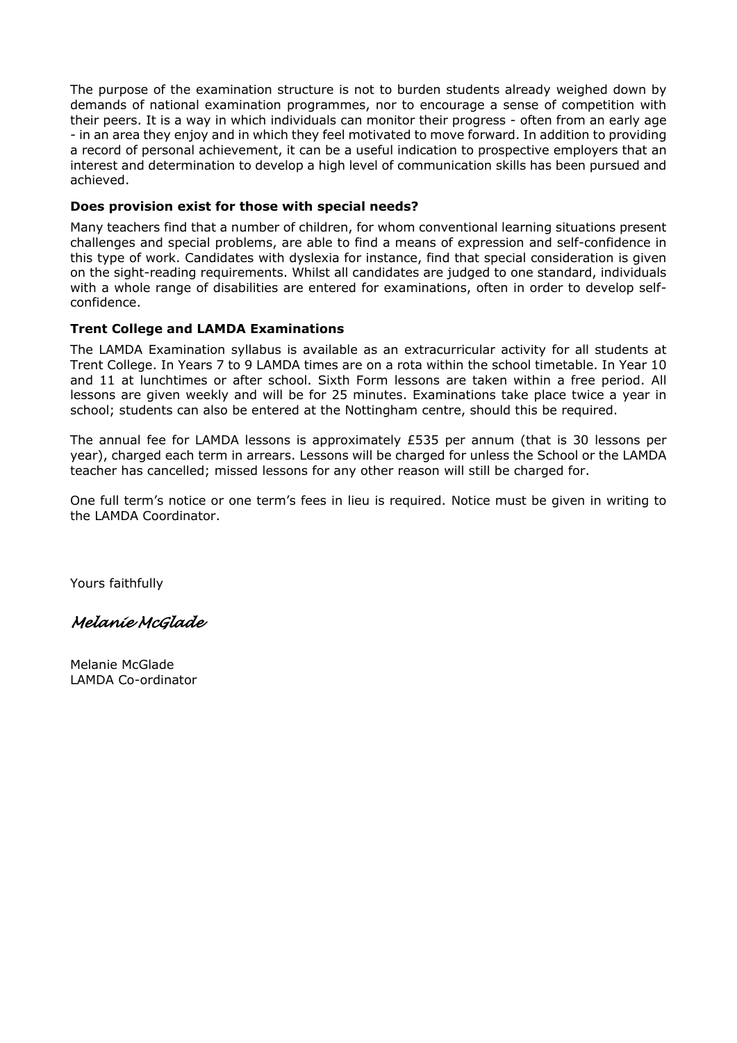The purpose of the examination structure is not to burden students already weighed down by demands of national examination programmes, nor to encourage a sense of competition with their peers. It is a way in which individuals can monitor their progress - often from an early age - in an area they enjoy and in which they feel motivated to move forward. In addition to providing a record of personal achievement, it can be a useful indication to prospective employers that an interest and determination to develop a high level of communication skills has been pursued and achieved.

### **Does provision exist for those with special needs?**

Many teachers find that a number of children, for whom conventional learning situations present challenges and special problems, are able to find a means of expression and self-confidence in this type of work. Candidates with dyslexia for instance, find that special consideration is given on the sight-reading requirements. Whilst all candidates are judged to one standard, individuals with a whole range of disabilities are entered for examinations, often in order to develop selfconfidence.

## **Trent College and LAMDA Examinations**

The LAMDA Examination syllabus is available as an extracurricular activity for all students at Trent College. In Years 7 to 9 LAMDA times are on a rota within the school timetable. In Year 10 and 11 at lunchtimes or after school. Sixth Form lessons are taken within a free period. All lessons are given weekly and will be for 25 minutes. Examinations take place twice a year in school; students can also be entered at the Nottingham centre, should this be required.

The annual fee for LAMDA lessons is approximately £535 per annum (that is 30 lessons per year), charged each term in arrears. Lessons will be charged for unless the School or the LAMDA teacher has cancelled; missed lessons for any other reason will still be charged for.

One full term's notice or one term's fees in lieu is required. Notice must be given in writing to the LAMDA Coordinator.

Yours faithfully

*Melanie McGlade* 

Melanie McGlade LAMDA Co-ordinator